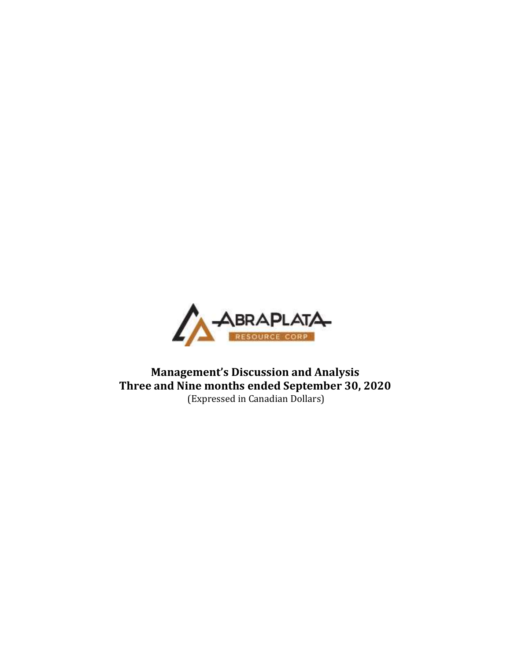

Management's Discussion and Analysis Three and Nine months ended September 30, 2020 (Expressed in Canadian Dollars)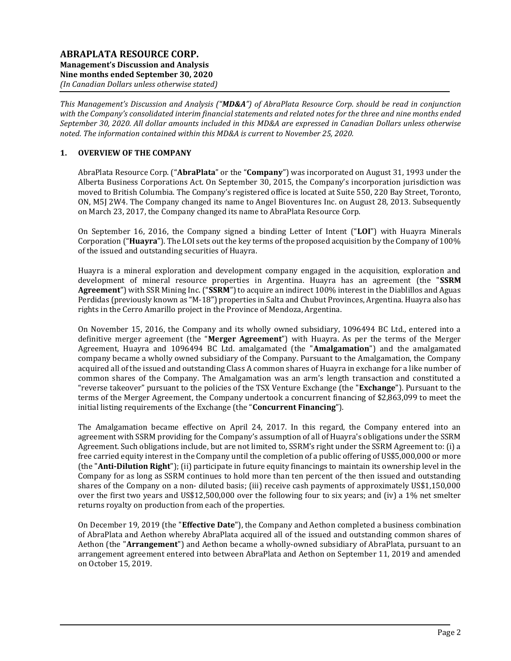This Management's Discussion and Analysis ("MD&A") of AbraPlata Resource Corp. should be read in conjunction with the Company's consolidated interim financial statements and related notes for the three and nine months ended September 30, 2020. All dollar amounts included in this MD&A are expressed in Canadian Dollars unless otherwise noted. The information contained within this MD&A is current to November 25, 2020.

# 1. OVERVIEW OF THE COMPANY

AbraPlata Resource Corp. ("AbraPlata" or the "Company") was incorporated on August 31, 1993 under the Alberta Business Corporations Act. On September 30, 2015, the Company's incorporation jurisdiction was moved to British Columbia. The Company's registered office is located at Suite 550, 220 Bay Street, Toronto, ON, M5J 2W4. The Company changed its name to Angel Bioventures Inc. on August 28, 2013. Subsequently on March 23, 2017, the Company changed its name to AbraPlata Resource Corp.

On September 16, 2016, the Company signed a binding Letter of Intent ("LOI") with Huayra Minerals Corporation ("Huayra"). The LOI sets out the key terms of the proposed acquisition by the Company of 100% of the issued and outstanding securities of Huayra.

Huayra is a mineral exploration and development company engaged in the acquisition, exploration and development of mineral resource properties in Argentina. Huayra has an agreement (the "SSRM Agreement") with SSR Mining Inc. ("SSRM") to acquire an indirect 100% interest in the Diablillos and Aguas Perdidas (previously known as "M-18") properties in Salta and Chubut Provinces, Argentina. Huayra also has rights in the Cerro Amarillo project in the Province of Mendoza, Argentina.

On November 15, 2016, the Company and its wholly owned subsidiary, 1096494 BC Ltd., entered into a definitive merger agreement (the "Merger Agreement") with Huayra. As per the terms of the Merger Agreement, Huayra and 1096494 BC Ltd. amalgamated (the "Amalgamation") and the amalgamated company became a wholly owned subsidiary of the Company. Pursuant to the Amalgamation, the Company acquired all of the issued and outstanding Class A common shares of Huayra in exchange for a like number of common shares of the Company. The Amalgamation was an arm's length transaction and constituted a "reverse takeover" pursuant to the policies of the TSX Venture Exchange (the "Exchange"). Pursuant to the terms of the Merger Agreement, the Company undertook a concurrent financing of \$2,863,099 to meet the initial listing requirements of the Exchange (the "Concurrent Financing").

The Amalgamation became effective on April 24, 2017. In this regard, the Company entered into an agreement with SSRM providing for the Company's assumption of all of Huayra's obligations under the SSRM Agreement. Such obligations include, but are not limited to, SSRM's right under the SSRM Agreement to: (i) a free carried equity interest in the Company until the completion of a public offering of US\$5,000,000 or more (the "Anti-Dilution Right"); (ii) participate in future equity financings to maintain its ownership level in the Company for as long as SSRM continues to hold more than ten percent of the then issued and outstanding shares of the Company on a non- diluted basis; (iii) receive cash payments of approximately US\$1,150,000 over the first two years and US\$12,500,000 over the following four to six years; and (iv) a 1% net smelter returns royalty on production from each of the properties.

On December 19, 2019 (the "Effective Date"), the Company and Aethon completed a business combination of AbraPlata and Aethon whereby AbraPlata acquired all of the issued and outstanding common shares of Aethon (the "**Arrangement**") and Aethon became a wholly-owned subsidiary of AbraPlata, pursuant to an arrangement agreement entered into between AbraPlata and Aethon on September 11, 2019 and amended on October 15, 2019.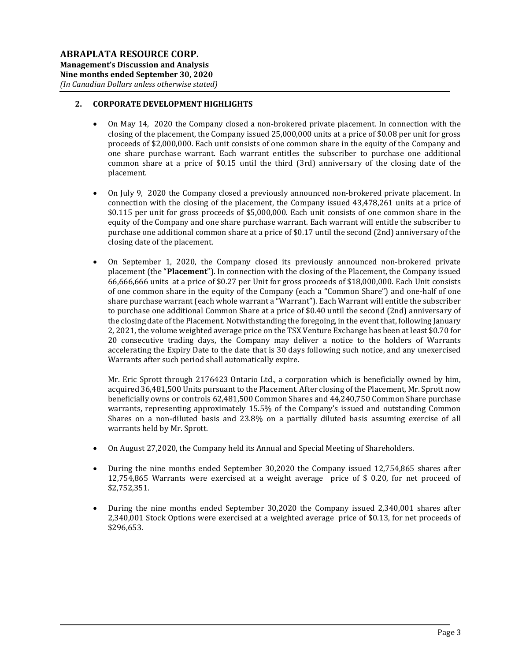# 2. CORPORATE DEVELOPMENT HIGHLIGHTS

- On May 14, 2020 the Company closed a non-brokered private placement. In connection with the closing of the placement, the Company issued 25,000,000 units at a price of \$0.08 per unit for gross proceeds of \$2,000,000. Each unit consists of one common share in the equity of the Company and one share purchase warrant. Each warrant entitles the subscriber to purchase one additional common share at a price of \$0.15 until the third (3rd) anniversary of the closing date of the placement.
- On July 9, 2020 the Company closed a previously announced non-brokered private placement. In connection with the closing of the placement, the Company issued 43,478,261 units at a price of \$0.115 per unit for gross proceeds of \$5,000,000. Each unit consists of one common share in the equity of the Company and one share purchase warrant. Each warrant will entitle the subscriber to purchase one additional common share at a price of \$0.17 until the second (2nd) anniversary of the closing date of the placement.
- On September 1, 2020, the Company closed its previously announced non-brokered private placement (the "Placement"). In connection with the closing of the Placement, the Company issued 66,666,666 units at a price of \$0.27 per Unit for gross proceeds of \$18,000,000. Each Unit consists of one common share in the equity of the Company (each a "Common Share") and one-half of one share purchase warrant (each whole warrant a "Warrant"). Each Warrant will entitle the subscriber to purchase one additional Common Share at a price of \$0.40 until the second (2nd) anniversary of the closing date of the Placement. Notwithstanding the foregoing, in the event that, following January 2, 2021, the volume weighted average price on the TSX Venture Exchange has been at least \$0.70 for 20 consecutive trading days, the Company may deliver a notice to the holders of Warrants accelerating the Expiry Date to the date that is 30 days following such notice, and any unexercised Warrants after such period shall automatically expire.

Mr. Eric Sprott through 2176423 Ontario Ltd., a corporation which is beneficially owned by him, acquired 36,481,500 Units pursuant to the Placement. After closing of the Placement, Mr. Sprott now beneficially owns or controls 62,481,500 Common Shares and 44,240,750 Common Share purchase warrants, representing approximately 15.5% of the Company's issued and outstanding Common Shares on a non-diluted basis and 23.8% on a partially diluted basis assuming exercise of all warrants held by Mr. Sprott.

- On August 27,2020, the Company held its Annual and Special Meeting of Shareholders.
- During the nine months ended September 30,2020 the Company issued 12,754,865 shares after 12,754,865 Warrants were exercised at a weight average price of \$ 0.20, for net proceed of \$2,752,351.
- During the nine months ended September 30,2020 the Company issued 2,340,001 shares after 2,340,001 Stock Options were exercised at a weighted average price of \$0.13, for net proceeds of \$296,653.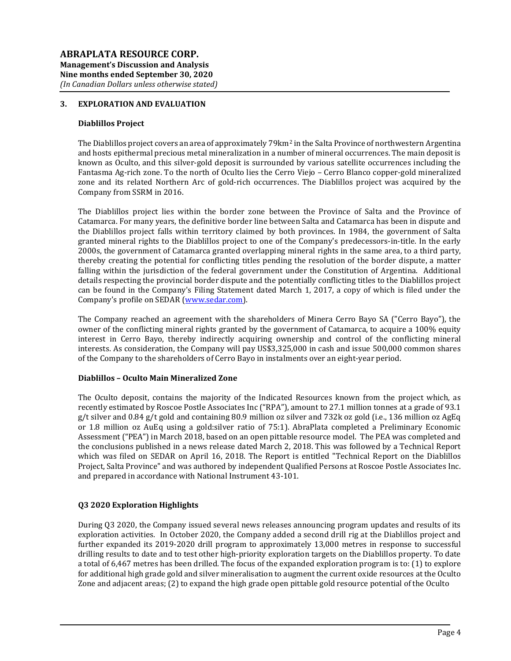## 3. EXPLORATION AND EVALUATION

### Diablillos Project

The Diablillos project covers an area of approximately 79 km<sup>2</sup> in the Salta Province of northwestern Argentina and hosts epithermal precious metal mineralization in a number of mineral occurrences. The main deposit is known as Oculto, and this silver-gold deposit is surrounded by various satellite occurrences including the Fantasma Ag-rich zone. To the north of Oculto lies the Cerro Viejo – Cerro Blanco copper-gold mineralized zone and its related Northern Arc of gold-rich occurrences. The Diablillos project was acquired by the Company from SSRM in 2016.

The Diablillos project lies within the border zone between the Province of Salta and the Province of Catamarca. For many years, the definitive border line between Salta and Catamarca has been in dispute and the Diablillos project falls within territory claimed by both provinces. In 1984, the government of Salta granted mineral rights to the Diablillos project to one of the Company's predecessors-in-title. In the early 2000s, the government of Catamarca granted overlapping mineral rights in the same area, to a third party, thereby creating the potential for conflicting titles pending the resolution of the border dispute, a matter falling within the jurisdiction of the federal government under the Constitution of Argentina. Additional details respecting the provincial border dispute and the potentially conflicting titles to the Diablillos project can be found in the Company's Filing Statement dated March 1, 2017, a copy of which is filed under the Company's profile on SEDAR (www.sedar.com).

The Company reached an agreement with the shareholders of Minera Cerro Bayo SA ("Cerro Bayo"), the owner of the conflicting mineral rights granted by the government of Catamarca, to acquire a 100% equity interest in Cerro Bayo, thereby indirectly acquiring ownership and control of the conflicting mineral interests. As consideration, the Company will pay US\$3,325,000 in cash and issue 500,000 common shares of the Company to the shareholders of Cerro Bayo in instalments over an eight-year period.

#### Diablillos – Oculto Main Mineralized Zone

The Oculto deposit, contains the majority of the Indicated Resources known from the project which, as recently estimated by Roscoe Postle Associates Inc ("RPA"), amount to 27.1 million tonnes at a grade of 93.1 g/t silver and 0.84 g/t gold and containing 80.9 million oz silver and 732k oz gold (i.e., 136 million oz AgEq or 1.8 million oz AuEq using a gold:silver ratio of 75:1). AbraPlata completed a Preliminary Economic Assessment ("PEA") in March 2018, based on an open pittable resource model. The PEA was completed and the conclusions published in a news release dated March 2, 2018. This was followed by a Technical Report which was filed on SEDAR on April 16, 2018. The Report is entitled "Technical Report on the Diablillos Project, Salta Province" and was authored by independent Qualified Persons at Roscoe Postle Associates Inc. and prepared in accordance with National Instrument 43-101.

### Q3 2020 Exploration Highlights

During Q3 2020, the Company issued several news releases announcing program updates and results of its exploration activities. In October 2020, the Company added a second drill rig at the Diablillos project and further expanded its 2019-2020 drill program to approximately 13,000 metres in response to successful drilling results to date and to test other high-priority exploration targets on the Diablillos property. To date a total of 6,467 metres has been drilled. The focus of the expanded exploration program is to: (1) to explore for additional high grade gold and silver mineralisation to augment the current oxide resources at the Oculto Zone and adjacent areas; (2) to expand the high grade open pittable gold resource potential of the Oculto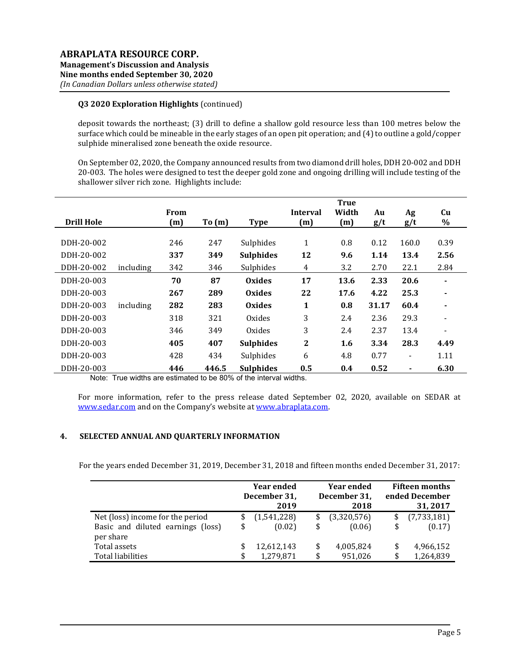# Q3 2020 Exploration Highlights (continued)

deposit towards the northeast; (3) drill to define a shallow gold resource less than 100 metres below the surface which could be mineable in the early stages of an open pit operation; and (4) to outline a gold/copper sulphide mineralised zone beneath the oxide resource.

On September 02, 2020, the Company announced results from two diamond drill holes, DDH 20-002 and DDH 20-003. The holes were designed to test the deeper gold zone and ongoing drilling will include testing of the shallower silver rich zone. Highlights include:

| <b>Drill Hole</b> |           | From<br>(m) | To(m) | <b>Type</b>      | <b>Interval</b><br>(m) | <b>True</b><br>Width<br>(m) | Au<br>g/t | Ag<br>g/t      | Cu<br>$\%$ |
|-------------------|-----------|-------------|-------|------------------|------------------------|-----------------------------|-----------|----------------|------------|
|                   |           |             |       |                  |                        |                             |           |                |            |
| DDH-20-002        |           | 246         | 247   | Sulphides        | 1                      | 0.8                         | 0.12      | 160.0          | 0.39       |
| DDH-20-002        |           | 337         | 349   | <b>Sulphides</b> | 12                     | 9.6                         | 1.14      | 13.4           | 2.56       |
| DDH-20-002        | including | 342         | 346   | Sulphides        | 4                      | 3.2                         | 2.70      | 22.1           | 2.84       |
| DDH-20-003        |           | 70          | 87    | <b>Oxides</b>    | 17                     | 13.6                        | 2.33      | 20.6           |            |
| DDH-20-003        |           | 267         | 289   | <b>Oxides</b>    | 22                     | 17.6                        | 4.22      | 25.3           |            |
| DDH-20-003        | including | 282         | 283   | <b>Oxides</b>    | 1                      | 0.8                         | 31.17     | 60.4           |            |
| DDH-20-003        |           | 318         | 321   | Oxides           | 3                      | 2.4                         | 2.36      | 29.3           |            |
| DDH-20-003        |           | 346         | 349   | Oxides           | 3                      | 2.4                         | 2.37      | 13.4           |            |
| DDH-20-003        |           | 405         | 407   | <b>Sulphides</b> | $\mathbf{2}$           | 1.6                         | 3.34      | 28.3           | 4.49       |
| DDH-20-003        |           | 428         | 434   | Sulphides        | 6                      | 4.8                         | 0.77      | $\blacksquare$ | 1.11       |
| DDH-20-003        | .         | 446         | 446.5 | <b>Sulphides</b> | 0.5                    | 0.4                         | 0.52      | $\blacksquare$ | 6.30       |

Note: True widths are estimated to be 80% of the interval widths.

For more information, refer to the press release dated September 02, 2020, available on SEDAR at www.sedar.com and on the Company's website at www.abraplata.com.

### 4. SELECTED ANNUAL AND QUARTERLY INFORMATION

For the years ended December 31, 2019, December 31, 2018 and fifteen months ended December 31, 2017:

|                                                | <b>Year ended</b><br>December 31,<br>2019 |             | <b>Year ended</b><br>December 31,<br>2018 | <b>Fifteen months</b><br>ended December<br>31, 2017 |                   |
|------------------------------------------------|-------------------------------------------|-------------|-------------------------------------------|-----------------------------------------------------|-------------------|
| Net (loss) income for the period               |                                           | (1,541,228) |                                           | (3,320,576)                                         | \$<br>(7,733,181) |
| Basic and diluted earnings (loss)<br>per share | \$                                        | (0.02)      | \$                                        | (0.06)                                              | \$<br>(0.17)      |
| Total assets                                   |                                           | 12,612,143  | \$                                        | 4,005,824                                           | 4,966,152         |
| Total liabilities                              | £.                                        | 1,279,871   | \$                                        | 951.026                                             | \$<br>1,264,839   |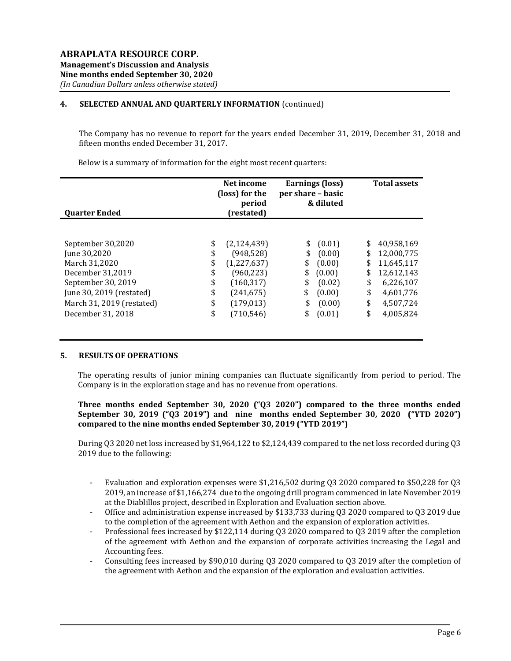# 4. SELECTED ANNUAL AND QUARTERLY INFORMATION (continued)

The Company has no revenue to report for the years ended December 31, 2019, December 31, 2018 and fifteen months ended December 31, 2017.

Below is a summary of information for the eight most recent quarters:

| <b>Ouarter Ended</b>      | Net income<br>(loss) for the<br>period<br>(restated) |             | per share - basic | Earnings (loss)<br>& diluted | <b>Total assets</b> |            |  |
|---------------------------|------------------------------------------------------|-------------|-------------------|------------------------------|---------------------|------------|--|
|                           |                                                      |             |                   |                              |                     |            |  |
| September 30,2020         | \$                                                   | (2,124,439) | \$                | (0.01)                       | \$                  | 40,958,169 |  |
| June 30,2020              | \$                                                   | (948, 528)  | \$                | (0.00)                       | \$                  | 12,000,775 |  |
| March 31.2020             | \$                                                   | (1,227,637) | \$                | (0.00)                       | \$                  | 11,645,117 |  |
| December 31,2019          | \$                                                   | (960, 223)  | \$                | (0.00)                       | \$                  | 12,612,143 |  |
| September 30, 2019        | \$                                                   | (160, 317)  | \$                | (0.02)                       | \$                  | 6,226,107  |  |
| June 30, 2019 (restated)  | \$                                                   | (241, 675)  | \$                | (0.00)                       | \$                  | 4,601,776  |  |
| March 31, 2019 (restated) | \$                                                   | (179, 013)  | \$                | (0.00)                       | \$                  | 4,507,724  |  |
| December 31, 2018         | \$                                                   | (710, 546)  |                   | (0.01)                       | \$                  | 4,005,824  |  |

#### 5. RESULTS OF OPERATIONS

The operating results of junior mining companies can fluctuate significantly from period to period. The Company is in the exploration stage and has no revenue from operations.

Three months ended September 30, 2020 ("Q3 2020") compared to the three months ended September 30, 2019 ("Q3 2019") and nine months ended September 30, 2020 ("YTD 2020") compared to the nine months ended September 30, 2019 ("YTD 2019")

During Q3 2020 net loss increased by \$1,964,122 to \$2,124,439 compared to the net loss recorded during Q3 2019 due to the following:

- Evaluation and exploration expenses were \$1,216,502 during Q3 2020 compared to \$50,228 for Q3 2019, an increase of \$1,166,274 due to the ongoing drill program commenced in late November 2019 at the Diablillos project, described in Exploration and Evaluation section above.
- Office and administration expense increased by \$133,733 during Q3 2020 compared to Q3 2019 due to the completion of the agreement with Aethon and the expansion of exploration activities.
- Professional fees increased by \$122,114 during Q3 2020 compared to Q3 2019 after the completion of the agreement with Aethon and the expansion of corporate activities increasing the Legal and Accounting fees.
- Consulting fees increased by \$90,010 during Q3 2020 compared to Q3 2019 after the completion of the agreement with Aethon and the expansion of the exploration and evaluation activities.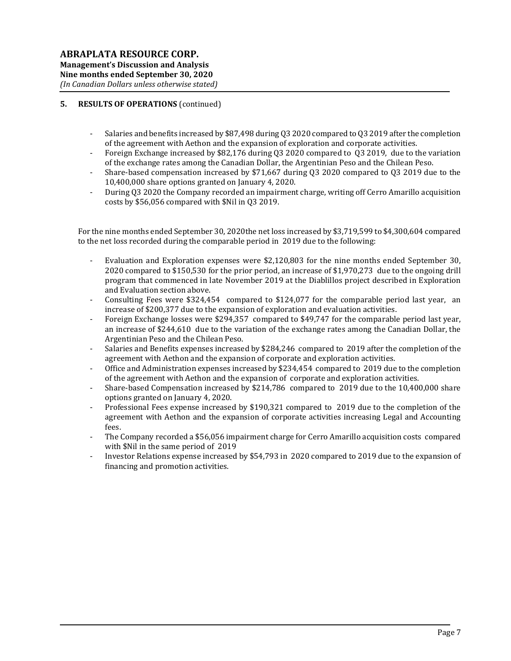# 5. RESULTS OF OPERATIONS (continued)

- Salaries and benefits increased by \$87,498 during Q3 2020 compared to Q3 2019 after the completion of the agreement with Aethon and the expansion of exploration and corporate activities.
- Foreign Exchange increased by \$82,176 during Q3 2020 compared to Q3 2019, due to the variation of the exchange rates among the Canadian Dollar, the Argentinian Peso and the Chilean Peso.
- Share-based compensation increased by \$71,667 during Q3 2020 compared to Q3 2019 due to the 10,400,000 share options granted on January 4, 2020.
- During Q3 2020 the Company recorded an impairment charge, writing off Cerro Amarillo acquisition costs by \$56,056 compared with \$Nil in Q3 2019.

For the nine months ended September 30, 2020the net loss increased by \$3,719,599 to \$4,300,604 compared to the net loss recorded during the comparable period in 2019 due to the following:

- Evaluation and Exploration expenses were \$2,120,803 for the nine months ended September 30, 2020 compared to \$150,530 for the prior period, an increase of \$1,970,273 due to the ongoing drill program that commenced in late November 2019 at the Diablillos project described in Exploration and Evaluation section above.
- Consulting Fees were \$324,454 compared to \$124,077 for the comparable period last year, an increase of \$200,377 due to the expansion of exploration and evaluation activities.
- Foreign Exchange losses were \$294,357 compared to \$49,747 for the comparable period last year, an increase of \$244,610 due to the variation of the exchange rates among the Canadian Dollar, the Argentinian Peso and the Chilean Peso.
- Salaries and Benefits expenses increased by \$284,246 compared to 2019 after the completion of the agreement with Aethon and the expansion of corporate and exploration activities.
- Office and Administration expenses increased by \$234,454 compared to 2019 due to the completion of the agreement with Aethon and the expansion of corporate and exploration activities.
- Share-based Compensation increased by \$214,786 compared to 2019 due to the 10,400,000 share options granted on January 4, 2020.
- Professional Fees expense increased by \$190,321 compared to 2019 due to the completion of the agreement with Aethon and the expansion of corporate activities increasing Legal and Accounting fees.
- The Company recorded a \$56,056 impairment charge for Cerro Amarillo acquisition costs compared with \$Nil in the same period of 2019
- Investor Relations expense increased by \$54,793 in 2020 compared to 2019 due to the expansion of financing and promotion activities.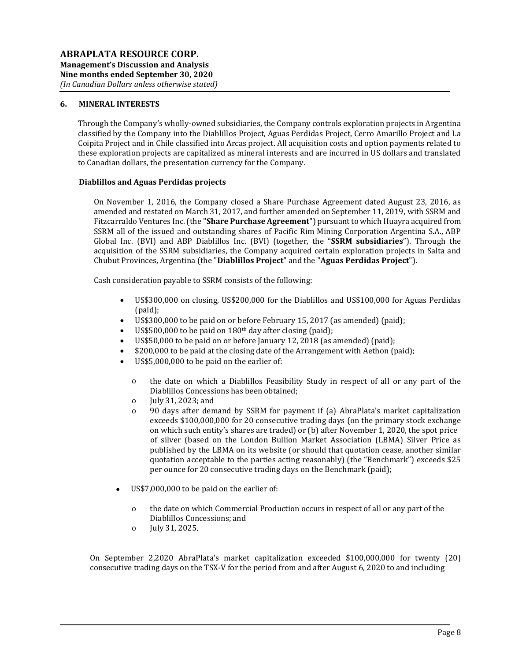### 6. MINERAL INTERESTS

Through the Company's wholly-owned subsidiaries, the Company controls exploration projects in Argentina classified by the Company into the Diablillos Project, Aguas Perdidas Project, Cerro Amarillo Project and La Coipita Project and in Chile classified into Arcas project. All acquisition costs and option payments related to these exploration projects are capitalized as mineral interests and are incurred in US dollars and translated to Canadian dollars, the presentation currency for the Company.

#### Diablillos and Aguas Perdidas projects

On November 1, 2016, the Company closed a Share Purchase Agreement dated August 23, 2016, as amended and restated on March 31, 2017, and further amended on September 11, 2019, with SSRM and Fitzcarraldo Ventures Inc. (the "Share Purchase Agreement") pursuant to which Huayra acquired from SSRM all of the issued and outstanding shares of Pacific Rim Mining Corporation Argentina S.A., ABP Global Inc. (BVI) and ABP Diablillos Inc. (BVI) (together, the "SSRM subsidiaries"). Through the acquisition of the SSRM subsidiaries, the Company acquired certain exploration projects in Salta and Chubut Provinces, Argentina (the "Diablillos Project" and the "Aguas Perdidas Project").

Cash consideration payable to SSRM consists of the following:

- US\$300,000 on closing, US\$200,000 for the Diablillos and US\$100,000 for Aguas Perdidas (paid);
- US\$300,000 to be paid on or before February 15, 2017 (as amended) (paid);
- US\$500,000 to be paid on  $180<sup>th</sup>$  day after closing (paid);
- US\$50,000 to be paid on or before January 12, 2018 (as amended) (paid);
- \$200,000 to be paid at the closing date of the Arrangement with Aethon (paid);
- US\$5,000,000 to be paid on the earlier of:
	- o the date on which a Diablillos Feasibility Study in respect of all or any part of the Diablillos Concessions has been obtained;
	- o July 31, 2023; and
	- o 90 days after demand by SSRM for payment if (a) AbraPlata's market capitalization exceeds \$100,000,000 for 20 consecutive trading days (on the primary stock exchange on which such entity's shares are traded) or (b) after November 1, 2020, the spot price of silver (based on the London Bullion Market Association (LBMA) Silver Price as published by the LBMA on its website (or should that quotation cease, another similar quotation acceptable to the parties acting reasonably) (the "Benchmark") exceeds \$25 per ounce for 20 consecutive trading days on the Benchmark (paid);
- US\$7,000,000 to be paid on the earlier of:
	- o the date on which Commercial Production occurs in respect of all or any part of the Diablillos Concessions; and
	- o July 31, 2025.

On September 2,2020 AbraPlata's market capitalization exceeded \$100,000,000 for twenty (20) consecutive trading days on the TSX-V for the period from and after August 6, 2020 to and including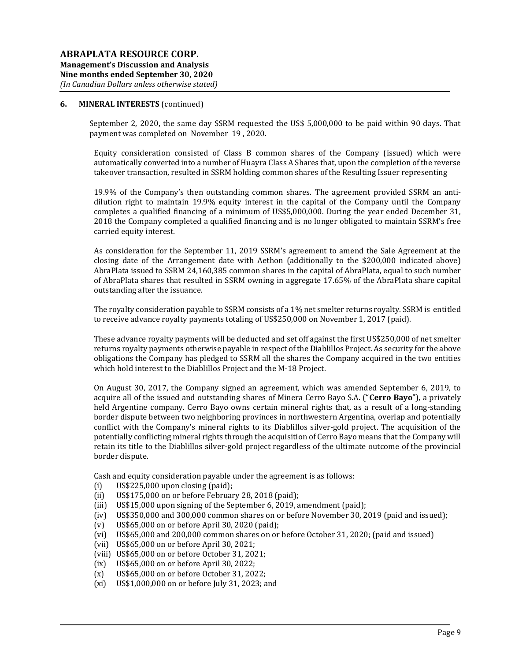September 2, 2020, the same day SSRM requested the US\$ 5,000,000 to be paid within 90 days. That payment was completed on November 19 , 2020.

Equity consideration consisted of Class B common shares of the Company (issued) which were automatically converted into a number of Huayra Class A Shares that, upon the completion of the reverse takeover transaction, resulted in SSRM holding common shares of the Resulting Issuer representing

19.9% of the Company's then outstanding common shares. The agreement provided SSRM an antidilution right to maintain 19.9% equity interest in the capital of the Company until the Company completes a qualified financing of a minimum of US\$5,000,000. During the year ended December 31, 2018 the Company completed a qualified financing and is no longer obligated to maintain SSRM's free carried equity interest.

As consideration for the September 11, 2019 SSRM's agreement to amend the Sale Agreement at the closing date of the Arrangement date with Aethon (additionally to the \$200,000 indicated above) AbraPlata issued to SSRM 24,160,385 common shares in the capital of AbraPlata, equal to such number of AbraPlata shares that resulted in SSRM owning in aggregate 17.65% of the AbraPlata share capital outstanding after the issuance.

The royalty consideration payable to SSRM consists of a 1% net smelter returns royalty. SSRM is entitled to receive advance royalty payments totaling of US\$250,000 on November 1, 2017 (paid).

These advance royalty payments will be deducted and set off against the first US\$250,000 of net smelter returns royalty payments otherwise payable in respect of the Diablillos Project. As security for the above obligations the Company has pledged to SSRM all the shares the Company acquired in the two entities which hold interest to the Diablillos Project and the M-18 Project.

On August 30, 2017, the Company signed an agreement, which was amended September 6, 2019, to acquire all of the issued and outstanding shares of Minera Cerro Bayo S.A. ("Cerro Bayo"), a privately held Argentine company. Cerro Bayo owns certain mineral rights that, as a result of a long-standing border dispute between two neighboring provinces in northwestern Argentina, overlap and potentially conflict with the Company's mineral rights to its Diablillos silver-gold project. The acquisition of the potentially conflicting mineral rights through the acquisition of Cerro Bayo means that the Company will retain its title to the Diablillos silver-gold project regardless of the ultimate outcome of the provincial border dispute.

Cash and equity consideration payable under the agreement is as follows:

- (i) US\$225,000 upon closing (paid);
- (ii) US\$175,000 on or before February 28, 2018 (paid);
- (iii) US\$15,000 upon signing of the September 6, 2019, amendment (paid);
- (iv) US\$350,000 and 300,000 common shares on or before November 30, 2019 (paid and issued);
- (v) US\$65,000 on or before April 30, 2020 (paid);
- (vi) US\$65,000 and 200,000 common shares on or before October 31, 2020; (paid and issued)
- (vii) US\$65,000 on or before April 30, 2021;
- (viii) US\$65,000 on or before October 31, 2021;
- (ix) US\$65,000 on or before April 30, 2022;
- (x) US\$65,000 on or before October 31, 2022;
- (xi) US\$1,000,000 on or before July 31, 2023; and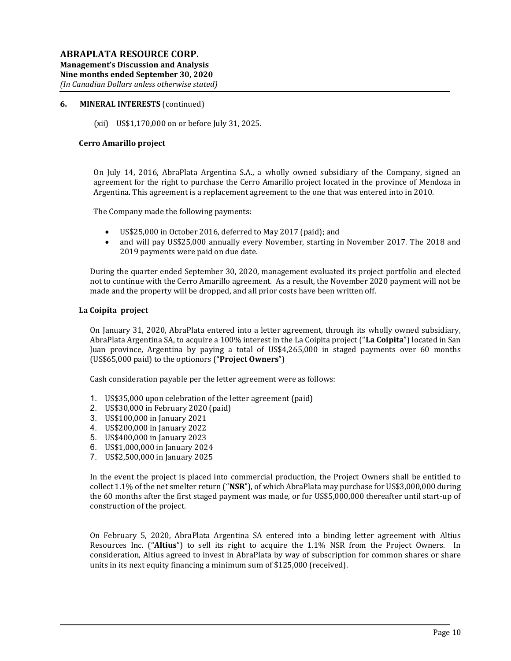(xii) US\$1,170,000 on or before July 31, 2025.

#### Cerro Amarillo project

On July 14, 2016, AbraPlata Argentina S.A., a wholly owned subsidiary of the Company, signed an agreement for the right to purchase the Cerro Amarillo project located in the province of Mendoza in Argentina. This agreement is a replacement agreement to the one that was entered into in 2010.

The Company made the following payments:

- US\$25,000 in October 2016, deferred to May 2017 (paid); and
- and will pay US\$25,000 annually every November, starting in November 2017. The 2018 and 2019 payments were paid on due date.

During the quarter ended September 30, 2020, management evaluated its project portfolio and elected not to continue with the Cerro Amarillo agreement. As a result, the November 2020 payment will not be made and the property will be dropped, and all prior costs have been written off.

#### La Coipita project

On January 31, 2020, AbraPlata entered into a letter agreement, through its wholly owned subsidiary, AbraPlata Argentina SA, to acquire a 100% interest in the La Coipita project ("La Coipita") located in San Juan province, Argentina by paying a total of US\$4,265,000 in staged payments over 60 months (US\$65,000 paid) to the optionors ("Project Owners")

Cash consideration payable per the letter agreement were as follows:

- 1. US\$35,000 upon celebration of the letter agreement (paid)
- 2. US\$30,000 in February 2020 (paid)
- 3. US\$100,000 in January 2021
- 4. US\$200,000 in January 2022
- 5. US\$400,000 in January 2023
- 6. US\$1,000,000 in January 2024
- 7. US\$2,500,000 in January 2025

In the event the project is placed into commercial production, the Project Owners shall be entitled to collect 1.1% of the net smelter return (" $NSR$ "), of which AbraPlata may purchase for US\$3,000,000 during the 60 months after the first staged payment was made, or for US\$5,000,000 thereafter until start-up of construction of the project.

On February 5, 2020, AbraPlata Argentina SA entered into a binding letter agreement with Altius Resources Inc. ("Altius") to sell its right to acquire the 1.1% NSR from the Project Owners. In consideration, Altius agreed to invest in AbraPlata by way of subscription for common shares or share units in its next equity financing a minimum sum of \$125,000 (received).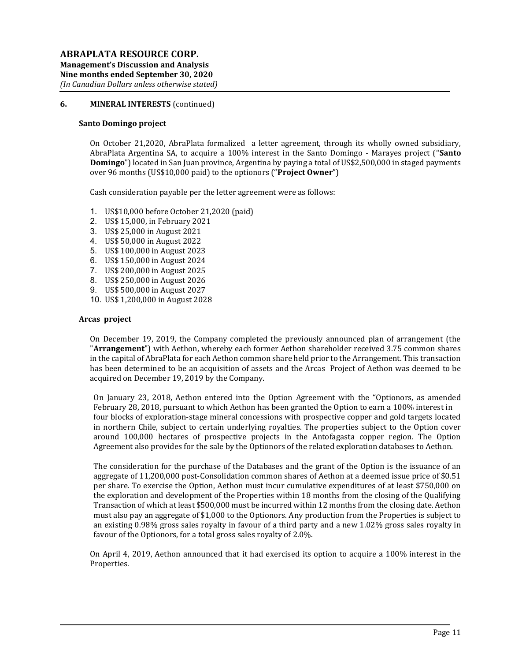#### Santo Domingo project

On October 21,2020, AbraPlata formalized a letter agreement, through its wholly owned subsidiary, AbraPlata Argentina SA, to acquire a 100% interest in the Santo Domingo - Marayes project ("Santo **Domingo**") located in San Juan province, Argentina by paying a total of US\$2,500,000 in staged payments over 96 months (US\$10,000 paid) to the optionors ("Project Owner")

Cash consideration payable per the letter agreement were as follows:

- 1. US\$10,000 before October 21,2020 (paid)
- 2. US\$ 15,000, in February 2021
- 3. US\$ 25,000 in August 2021
- 4. US\$ 50,000 in August 2022
- 5. US\$ 100,000 in August 2023
- 6. US\$ 150,000 in August 2024
- 7. US\$ 200,000 in August 2025
- 8. US\$ 250,000 in August 2026
- 9. US\$ 500,000 in August 2027
- 10. US\$ 1,200,000 in August 2028

#### Arcas project

On December 19, 2019, the Company completed the previously announced plan of arrangement (the "Arrangement") with Aethon, whereby each former Aethon shareholder received 3.75 common shares in the capital of AbraPlata for each Aethon common share held prior to the Arrangement. This transaction has been determined to be an acquisition of assets and the Arcas Project of Aethon was deemed to be acquired on December 19, 2019 by the Company.

On January 23, 2018, Aethon entered into the Option Agreement with the "Optionors, as amended February 28, 2018, pursuant to which Aethon has been granted the Option to earn a 100% interest in four blocks of exploration-stage mineral concessions with prospective copper and gold targets located in northern Chile, subject to certain underlying royalties. The properties subject to the Option cover around 100,000 hectares of prospective projects in the Antofagasta copper region. The Option Agreement also provides for the sale by the Optionors of the related exploration databases to Aethon.

The consideration for the purchase of the Databases and the grant of the Option is the issuance of an aggregate of 11,200,000 post-Consolidation common shares of Aethon at a deemed issue price of \$0.51 per share. To exercise the Option, Aethon must incur cumulative expenditures of at least \$750,000 on the exploration and development of the Properties within 18 months from the closing of the Qualifying Transaction of which at least \$500,000 must be incurred within 12 months from the closing date. Aethon must also pay an aggregate of \$1,000 to the Optionors. Any production from the Properties is subject to an existing 0.98% gross sales royalty in favour of a third party and a new 1.02% gross sales royalty in favour of the Optionors, for a total gross sales royalty of 2.0%.

On April 4, 2019, Aethon announced that it had exercised its option to acquire a 100% interest in the Properties.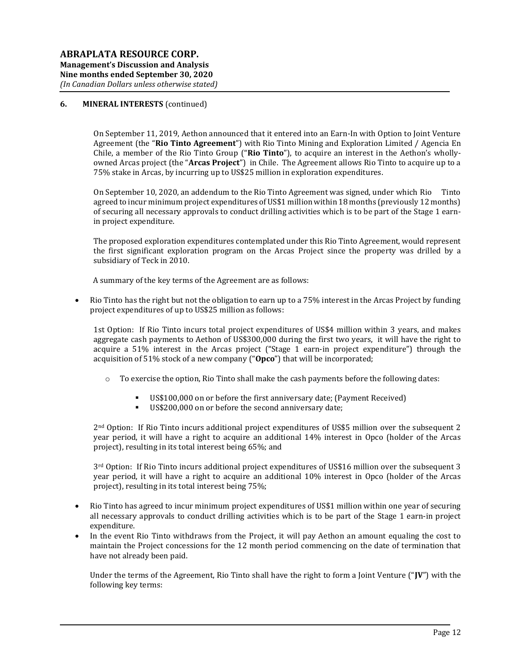On September 11, 2019, Aethon announced that it entered into an Earn-In with Option to Joint Venture Agreement (the "Rio Tinto Agreement") with Rio Tinto Mining and Exploration Limited / Agencia En Chile, a member of the Rio Tinto Group ("Rio Tinto"), to acquire an interest in the Aethon's whollyowned Arcas project (the "Arcas Project") in Chile. The Agreement allows Rio Tinto to acquire up to a 75% stake in Arcas, by incurring up to US\$25 million in exploration expenditures.

On September 10, 2020, an addendum to the Rio Tinto Agreement was signed, under which Rio Tinto agreed to incur minimum project expenditures of US\$1 million within 18 months (previously 12 months) of securing all necessary approvals to conduct drilling activities which is to be part of the Stage 1 earnin project expenditure.

The proposed exploration expenditures contemplated under this Rio Tinto Agreement, would represent the first significant exploration program on the Arcas Project since the property was drilled by a subsidiary of Teck in 2010.

A summary of the key terms of the Agreement are as follows:

 Rio Tinto has the right but not the obligation to earn up to a 75% interest in the Arcas Project by funding project expenditures of up to US\$25 million as follows:

1st Option: If Rio Tinto incurs total project expenditures of US\$4 million within 3 years, and makes aggregate cash payments to Aethon of US\$300,000 during the first two years, it will have the right to acquire a 51% interest in the Arcas project ("Stage 1 earn-in project expenditure") through the acquisition of 51% stock of a new company ("Opco") that will be incorporated;

- $\circ$  To exercise the option, Rio Tinto shall make the cash payments before the following dates:
	- US\$100,000 on or before the first anniversary date; (Payment Received)
	- US\$200,000 on or before the second anniversary date;

2nd Option: If Rio Tinto incurs additional project expenditures of US\$5 million over the subsequent 2 year period, it will have a right to acquire an additional 14% interest in Opco (holder of the Arcas project), resulting in its total interest being 65%; and

3rd Option: If Rio Tinto incurs additional project expenditures of US\$16 million over the subsequent 3 year period, it will have a right to acquire an additional 10% interest in Opco (holder of the Arcas project), resulting in its total interest being 75%;

- Rio Tinto has agreed to incur minimum project expenditures of US\$1 million within one year of securing all necessary approvals to conduct drilling activities which is to be part of the Stage 1 earn-in project expenditure.
- In the event Rio Tinto withdraws from the Project, it will pay Aethon an amount equaling the cost to maintain the Project concessions for the 12 month period commencing on the date of termination that have not already been paid.

Under the terms of the Agreement, Rio Tinto shall have the right to form a Joint Venture ("JV") with the following key terms: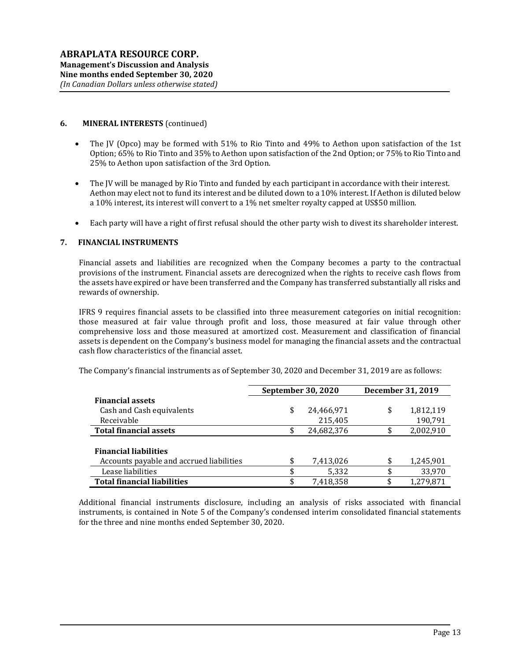- The JV (Opco) may be formed with 51% to Rio Tinto and 49% to Aethon upon satisfaction of the 1st Option; 65% to Rio Tinto and 35% to Aethon upon satisfaction of the 2nd Option; or 75% to Rio Tinto and 25% to Aethon upon satisfaction of the 3rd Option.
- The JV will be managed by Rio Tinto and funded by each participant in accordance with their interest. Aethon may elect not to fund its interest and be diluted down to a 10% interest. If Aethon is diluted below a 10% interest, its interest will convert to a 1% net smelter royalty capped at US\$50 million.
- Each party will have a right of first refusal should the other party wish to divest its shareholder interest.

# 7. FINANCIAL INSTRUMENTS

Financial assets and liabilities are recognized when the Company becomes a party to the contractual provisions of the instrument. Financial assets are derecognized when the rights to receive cash flows from the assets have expired or have been transferred and the Company has transferred substantially all risks and rewards of ownership.

IFRS 9 requires financial assets to be classified into three measurement categories on initial recognition: those measured at fair value through profit and loss, those measured at fair value through other comprehensive loss and those measured at amortized cost. Measurement and classification of financial assets is dependent on the Company's business model for managing the financial assets and the contractual cash flow characteristics of the financial asset.

The Company's financial instruments as of September 30, 2020 and December 31, 2019 are as follows:

|                                          |     | <b>September 30, 2020</b> | December 31, 2019 |           |  |
|------------------------------------------|-----|---------------------------|-------------------|-----------|--|
| <b>Financial assets</b>                  |     |                           |                   |           |  |
| Cash and Cash equivalents                | \$  | 24,466,971                | \$                | 1,812,119 |  |
| Receivable                               |     | 215,405                   |                   | 190,791   |  |
| <b>Total financial assets</b>            | \$. | 24,682,376                | \$                | 2,002,910 |  |
|                                          |     |                           |                   |           |  |
| <b>Financial liabilities</b>             |     |                           |                   |           |  |
| Accounts payable and accrued liabilities | \$  | 7,413,026                 | \$                | 1,245,901 |  |
| Lease liabilities                        |     | 5,332                     | \$                | 33,970    |  |
| <b>Total financial liabilities</b>       | \$  | 7.418.358                 | \$                | 1,279,871 |  |

Additional financial instruments disclosure, including an analysis of risks associated with financial instruments, is contained in Note 5 of the Company's condensed interim consolidated financial statements for the three and nine months ended September 30, 2020.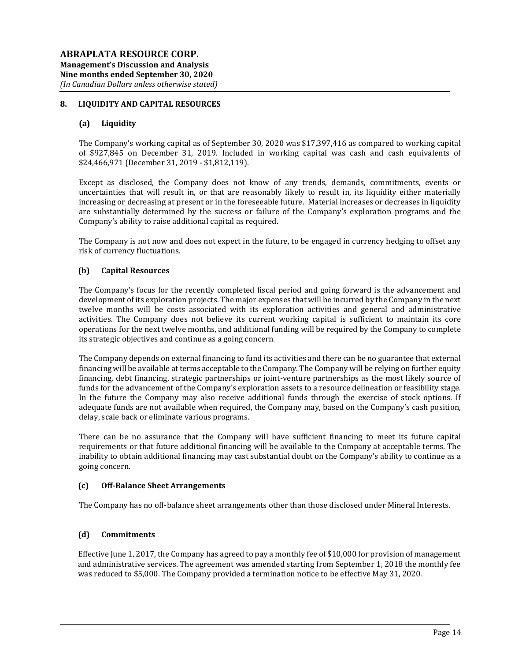## 8. LIQUIDITY AND CAPITAL RESOURCES

### (a) Liquidity

The Company's working capital as of September 30, 2020 was \$17,397,416 as compared to working capital of \$927,845 on December 31, 2019. Included in working capital was cash and cash equivalents of \$24,466,971 (December 31, 2019 - \$1,812,119).

Except as disclosed, the Company does not know of any trends, demands, commitments, events or uncertainties that will result in, or that are reasonably likely to result in, its liquidity either materially increasing or decreasing at present or in the foreseeable future. Material increases or decreases in liquidity are substantially determined by the success or failure of the Company's exploration programs and the Company's ability to raise additional capital as required.

The Company is not now and does not expect in the future, to be engaged in currency hedging to offset any risk of currency fluctuations.

### (b) Capital Resources

The Company's focus for the recently completed fiscal period and going forward is the advancement and development of its exploration projects. The major expenses that will be incurred by the Company in the next twelve months will be costs associated with its exploration activities and general and administrative activities. The Company does not believe its current working capital is sufficient to maintain its core operations for the next twelve months, and additional funding will be required by the Company to complete its strategic objectives and continue as a going concern.

The Company depends on external financing to fund its activities and there can be no guarantee that external financing will be available at terms acceptable to the Company. The Company will be relying on further equity financing, debt financing, strategic partnerships or joint-venture partnerships as the most likely source of funds for the advancement of the Company's exploration assets to a resource delineation or feasibility stage. In the future the Company may also receive additional funds through the exercise of stock options. If adequate funds are not available when required, the Company may, based on the Company's cash position, delay, scale back or eliminate various programs.

There can be no assurance that the Company will have sufficient financing to meet its future capital requirements or that future additional financing will be available to the Company at acceptable terms. The inability to obtain additional financing may cast substantial doubt on the Company's ability to continue as a going concern.

### (c) Off-Balance Sheet Arrangements

The Company has no off-balance sheet arrangements other than those disclosed under Mineral Interests.

### (d) Commitments

Effective June 1, 2017, the Company has agreed to pay a monthly fee of \$10,000 for provision of management and administrative services. The agreement was amended starting from September 1, 2018 the monthly fee was reduced to \$5,000. The Company provided a termination notice to be effective May 31, 2020.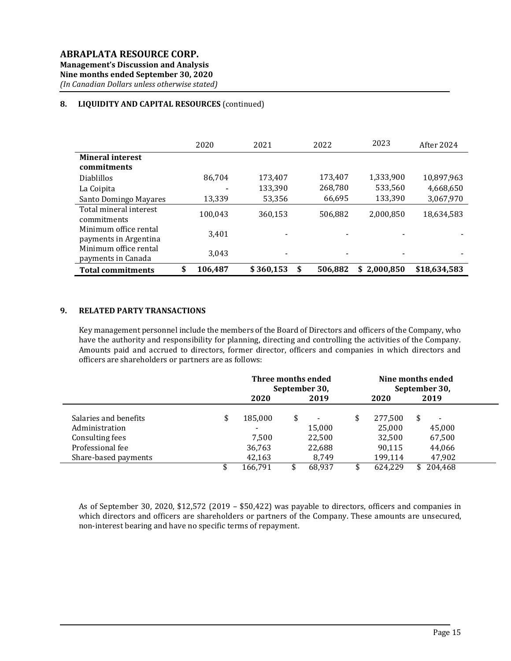# 8. LIQUIDITY AND CAPITAL RESOURCES (continued)

|                          | 2020          | 2021      | 2022         | 2023            | After 2024   |
|--------------------------|---------------|-----------|--------------|-----------------|--------------|
| <b>Mineral interest</b>  |               |           |              |                 |              |
| commitments              |               |           |              |                 |              |
| <b>Diablillos</b>        | 86.704        | 173.407   | 173,407      | 1,333,900       | 10,897,963   |
| La Coipita               |               | 133,390   | 268,780      | 533,560         | 4,668,650    |
| Santo Domingo Mayares    | 13,339        | 53,356    | 66,695       | 133,390         | 3,067,970    |
| Total mineral interest   | 100.043       | 360,153   | 506,882      | 2,000,850       | 18,634,583   |
| commitments              |               |           |              |                 |              |
| Minimum office rental    | 3,401         |           |              |                 |              |
| payments in Argentina    |               |           |              |                 |              |
| Minimum office rental    | 3,043         |           |              |                 |              |
| payments in Canada       |               |           |              |                 |              |
| <b>Total commitments</b> | \$<br>106,487 | \$360.153 | S<br>506.882 | 2.000.850<br>\$ | \$18,634,583 |

#### 9. RELATED PARTY TRANSACTIONS

Key management personnel include the members of the Board of Directors and officers of the Company, who have the authority and responsibility for planning, directing and controlling the activities of the Company. Amounts paid and accrued to directors, former director, officers and companies in which directors and officers are shareholders or partners are as follows:

|                       |    | Three months ended<br>September 30, |    |        | Nine months ended<br>September 30, |         |  |         |  |
|-----------------------|----|-------------------------------------|----|--------|------------------------------------|---------|--|---------|--|
|                       |    | 2020<br>2019                        |    |        | 2020                               | 2019    |  |         |  |
| Salaries and benefits | \$ | 185,000                             | \$ |        | \$                                 | 277,500 |  |         |  |
| Administration        |    | $\overline{\phantom{a}}$            |    | 15,000 |                                    | 25,000  |  | 45,000  |  |
| Consulting fees       |    | 7.500                               |    | 22,500 |                                    | 32,500  |  | 67,500  |  |
| Professional fee      |    | 36,763                              |    | 22,688 |                                    | 90,115  |  | 44,066  |  |
| Share-based payments  |    | 42,163                              |    | 8.749  |                                    | 199,114 |  | 47,902  |  |
|                       |    | 166,791                             |    | 68,937 |                                    | 624,229 |  | 204,468 |  |

As of September 30, 2020, \$12,572 (2019 – \$50,422) was payable to directors, officers and companies in which directors and officers are shareholders or partners of the Company. These amounts are unsecured, non-interest bearing and have no specific terms of repayment.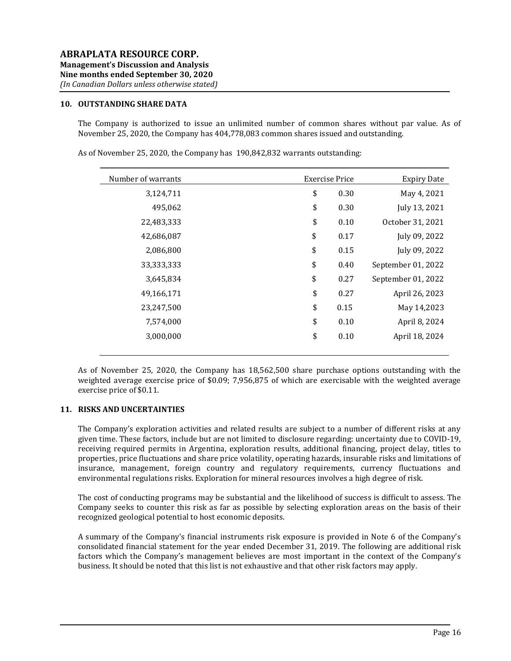# 10. OUTSTANDING SHARE DATA

The Company is authorized to issue an unlimited number of common shares without par value. As of November 25, 2020, the Company has 404,778,083 common shares issued and outstanding.

Number of warrants Exercise Price Expiry Date 3,124,711 \$ 0.30 May 4, 2021 495,062 \$ 0.30 July 13, 2021 22,483,333 \$ 0.10 October 31, 2021 42,686,087 \$ 0.17 July 09, 2022 2,086,800 \$ 0.15 July 09, 2022 33,333,333 \$ 0.40 September 01, 2022 3,645,834 \$ 0.27 September 01, 2022 49,166,171 \$ 0.27 April 26, 2023 23,247,500 \$ 0.15 May 14,2023 7,574,000 \$ 0.10 April 8, 2024 3,000,000 \$ 0.10 April 18, 2024

As of November 25, 2020, the Company has 190,842,832 warrants outstanding:

As of November 25, 2020, the Company has 18,562,500 share purchase options outstanding with the weighted average exercise price of \$0.09; 7,956,875 of which are exercisable with the weighted average exercise price of \$0.11.

#### 11. RISKS AND UNCERTAINTIES

The Company's exploration activities and related results are subject to a number of different risks at any given time. These factors, include but are not limited to disclosure regarding: uncertainty due to COVID-19, receiving required permits in Argentina, exploration results, additional financing, project delay, titles to properties, price fluctuations and share price volatility, operating hazards, insurable risks and limitations of insurance, management, foreign country and regulatory requirements, currency fluctuations and environmental regulations risks. Exploration for mineral resources involves a high degree of risk.

The cost of conducting programs may be substantial and the likelihood of success is difficult to assess. The Company seeks to counter this risk as far as possible by selecting exploration areas on the basis of their recognized geological potential to host economic deposits.

A summary of the Company's financial instruments risk exposure is provided in Note 6 of the Company's consolidated financial statement for the year ended December 31, 2019. The following are additional risk factors which the Company's management believes are most important in the context of the Company's business. It should be noted that this list is not exhaustive and that other risk factors may apply.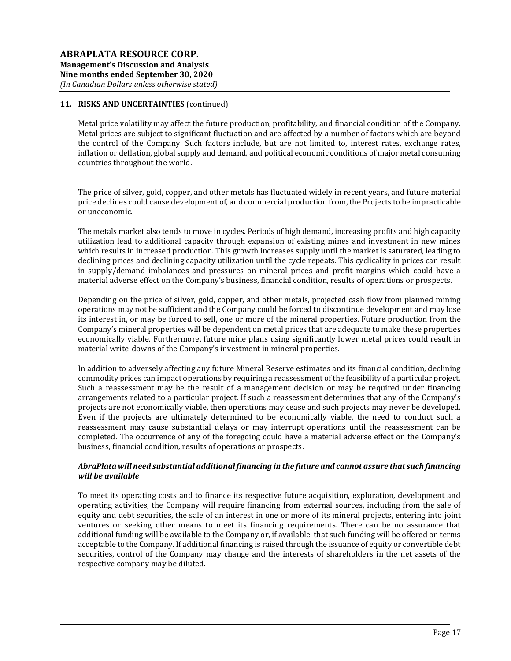Metal price volatility may affect the future production, profitability, and financial condition of the Company. Metal prices are subject to significant fluctuation and are affected by a number of factors which are beyond the control of the Company. Such factors include, but are not limited to, interest rates, exchange rates, inflation or deflation, global supply and demand, and political economic conditions of major metal consuming countries throughout the world.

The price of silver, gold, copper, and other metals has fluctuated widely in recent years, and future material price declines could cause development of, and commercial production from, the Projects to be impracticable or uneconomic.

The metals market also tends to move in cycles. Periods of high demand, increasing profits and high capacity utilization lead to additional capacity through expansion of existing mines and investment in new mines which results in increased production. This growth increases supply until the market is saturated, leading to declining prices and declining capacity utilization until the cycle repeats. This cyclicality in prices can result in supply/demand imbalances and pressures on mineral prices and profit margins which could have a material adverse effect on the Company's business, financial condition, results of operations or prospects.

Depending on the price of silver, gold, copper, and other metals, projected cash flow from planned mining operations may not be sufficient and the Company could be forced to discontinue development and may lose its interest in, or may be forced to sell, one or more of the mineral properties. Future production from the Company's mineral properties will be dependent on metal prices that are adequate to make these properties economically viable. Furthermore, future mine plans using significantly lower metal prices could result in material write-downs of the Company's investment in mineral properties.

In addition to adversely affecting any future Mineral Reserve estimates and its financial condition, declining commodity prices can impact operations by requiring a reassessment of the feasibility of a particular project. Such a reassessment may be the result of a management decision or may be required under financing arrangements related to a particular project. If such a reassessment determines that any of the Company's projects are not economically viable, then operations may cease and such projects may never be developed. Even if the projects are ultimately determined to be economically viable, the need to conduct such a reassessment may cause substantial delays or may interrupt operations until the reassessment can be completed. The occurrence of any of the foregoing could have a material adverse effect on the Company's business, financial condition, results of operations or prospects.

# AbraPlata will need substantial additional financing in the future and cannot assure that such financing will be available

To meet its operating costs and to finance its respective future acquisition, exploration, development and operating activities, the Company will require financing from external sources, including from the sale of equity and debt securities, the sale of an interest in one or more of its mineral projects, entering into joint ventures or seeking other means to meet its financing requirements. There can be no assurance that additional funding will be available to the Company or, if available, that such funding will be offered on terms acceptable to the Company. If additional financing is raised through the issuance of equity or convertible debt securities, control of the Company may change and the interests of shareholders in the net assets of the respective company may be diluted.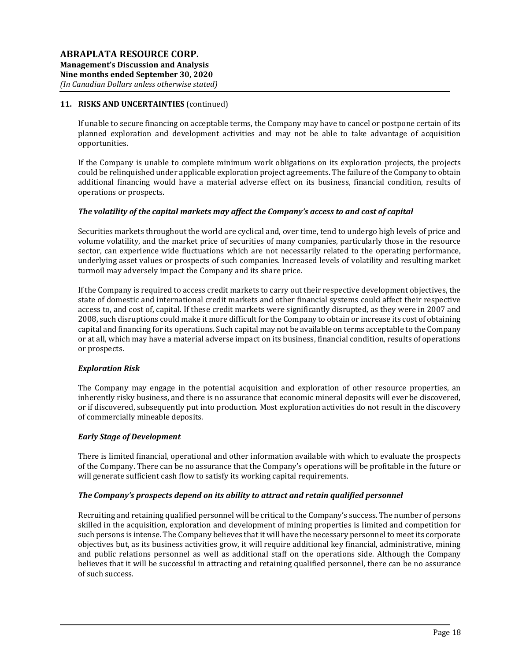If unable to secure financing on acceptable terms, the Company may have to cancel or postpone certain of its planned exploration and development activities and may not be able to take advantage of acquisition opportunities.

If the Company is unable to complete minimum work obligations on its exploration projects, the projects could be relinquished under applicable exploration project agreements. The failure of the Company to obtain additional financing would have a material adverse effect on its business, financial condition, results of operations or prospects.

### The volatility of the capital markets may affect the Company's access to and cost of capital

Securities markets throughout the world are cyclical and, over time, tend to undergo high levels of price and volume volatility, and the market price of securities of many companies, particularly those in the resource sector, can experience wide fluctuations which are not necessarily related to the operating performance, underlying asset values or prospects of such companies. Increased levels of volatility and resulting market turmoil may adversely impact the Company and its share price.

If the Company is required to access credit markets to carry out their respective development objectives, the state of domestic and international credit markets and other financial systems could affect their respective access to, and cost of, capital. If these credit markets were significantly disrupted, as they were in 2007 and 2008, such disruptions could make it more difficult for the Company to obtain or increase its cost of obtaining capital and financing for its operations. Such capital may not be available on terms acceptable to the Company or at all, which may have a material adverse impact on its business, financial condition, results of operations or prospects.

### Exploration Risk

The Company may engage in the potential acquisition and exploration of other resource properties, an inherently risky business, and there is no assurance that economic mineral deposits will ever be discovered, or if discovered, subsequently put into production. Most exploration activities do not result in the discovery of commercially mineable deposits.

### Early Stage of Development

There is limited financial, operational and other information available with which to evaluate the prospects of the Company. There can be no assurance that the Company's operations will be profitable in the future or will generate sufficient cash flow to satisfy its working capital requirements.

### The Company's prospects depend on its ability to attract and retain qualified personnel

Recruiting and retaining qualified personnel will be critical to the Company's success. The number of persons skilled in the acquisition, exploration and development of mining properties is limited and competition for such persons is intense. The Company believes that it will have the necessary personnel to meet its corporate objectives but, as its business activities grow, it will require additional key financial, administrative, mining and public relations personnel as well as additional staff on the operations side. Although the Company believes that it will be successful in attracting and retaining qualified personnel, there can be no assurance of such success.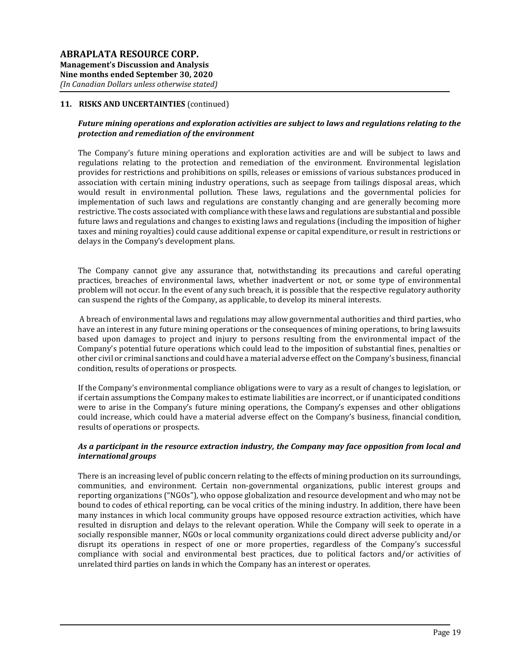### Future mining operations and exploration activities are subject to laws and regulations relating to the protection and remediation of the environment

The Company's future mining operations and exploration activities are and will be subject to laws and regulations relating to the protection and remediation of the environment. Environmental legislation provides for restrictions and prohibitions on spills, releases or emissions of various substances produced in association with certain mining industry operations, such as seepage from tailings disposal areas, which would result in environmental pollution. These laws, regulations and the governmental policies for implementation of such laws and regulations are constantly changing and are generally becoming more restrictive. The costs associated with compliance with these laws and regulations are substantial and possible future laws and regulations and changes to existing laws and regulations (including the imposition of higher taxes and mining royalties) could cause additional expense or capital expenditure, or result in restrictions or delays in the Company's development plans.

The Company cannot give any assurance that, notwithstanding its precautions and careful operating practices, breaches of environmental laws, whether inadvertent or not, or some type of environmental problem will not occur. In the event of any such breach, it is possible that the respective regulatory authority can suspend the rights of the Company, as applicable, to develop its mineral interests.

 A breach of environmental laws and regulations may allow governmental authorities and third parties, who have an interest in any future mining operations or the consequences of mining operations, to bring lawsuits based upon damages to project and injury to persons resulting from the environmental impact of the Company's potential future operations which could lead to the imposition of substantial fines, penalties or other civil or criminal sanctions and could have a material adverse effect on the Company's business, financial condition, results of operations or prospects.

If the Company's environmental compliance obligations were to vary as a result of changes to legislation, or if certain assumptions the Company makes to estimate liabilities are incorrect, or if unanticipated conditions were to arise in the Company's future mining operations, the Company's expenses and other obligations could increase, which could have a material adverse effect on the Company's business, financial condition, results of operations or prospects.

#### As a participant in the resource extraction industry, the Company may face opposition from local and international groups

There is an increasing level of public concern relating to the effects of mining production on its surroundings, communities, and environment. Certain non-governmental organizations, public interest groups and reporting organizations ("NGOs"), who oppose globalization and resource development and who may not be bound to codes of ethical reporting, can be vocal critics of the mining industry. In addition, there have been many instances in which local community groups have opposed resource extraction activities, which have resulted in disruption and delays to the relevant operation. While the Company will seek to operate in a socially responsible manner, NGOs or local community organizations could direct adverse publicity and/or disrupt its operations in respect of one or more properties, regardless of the Company's successful compliance with social and environmental best practices, due to political factors and/or activities of unrelated third parties on lands in which the Company has an interest or operates.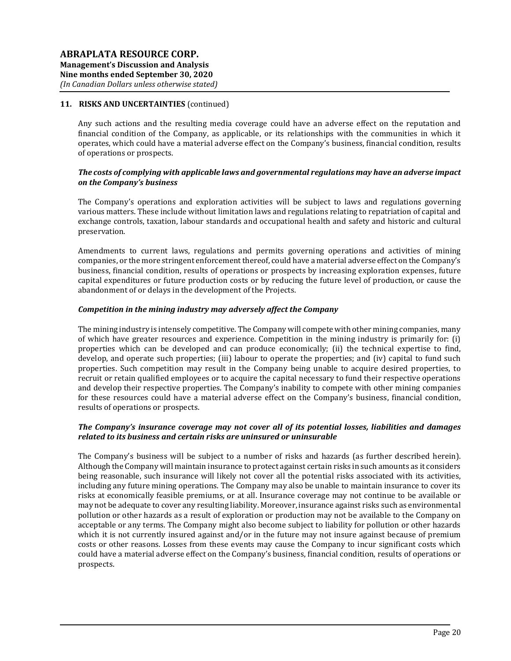Any such actions and the resulting media coverage could have an adverse effect on the reputation and financial condition of the Company, as applicable, or its relationships with the communities in which it operates, which could have a material adverse effect on the Company's business, financial condition, results of operations or prospects.

# The costs of complying with applicable laws and governmental regulations may have an adverse impact on the Company's business

The Company's operations and exploration activities will be subject to laws and regulations governing various matters. These include without limitation laws and regulations relating to repatriation of capital and exchange controls, taxation, labour standards and occupational health and safety and historic and cultural preservation.

Amendments to current laws, regulations and permits governing operations and activities of mining companies, or the more stringent enforcement thereof, could have a material adverse effect on the Company's business, financial condition, results of operations or prospects by increasing exploration expenses, future capital expenditures or future production costs or by reducing the future level of production, or cause the abandonment of or delays in the development of the Projects.

#### Competition in the mining industry may adversely affect the Company

The mining industry is intensely competitive. The Company will compete with other mining companies, many of which have greater resources and experience. Competition in the mining industry is primarily for: (i) properties which can be developed and can produce economically; (ii) the technical expertise to find, develop, and operate such properties; (iii) labour to operate the properties; and (iv) capital to fund such properties. Such competition may result in the Company being unable to acquire desired properties, to recruit or retain qualified employees or to acquire the capital necessary to fund their respective operations and develop their respective properties. The Company's inability to compete with other mining companies for these resources could have a material adverse effect on the Company's business, financial condition, results of operations or prospects.

### The Company's insurance coverage may not cover all of its potential losses, liabilities and damages related to its business and certain risks are uninsured or uninsurable

The Company's business will be subject to a number of risks and hazards (as further described herein). Although the Company will maintain insurance to protect against certain risks in such amounts as it considers being reasonable, such insurance will likely not cover all the potential risks associated with its activities, including any future mining operations. The Company may also be unable to maintain insurance to cover its risks at economically feasible premiums, or at all. Insurance coverage may not continue to be available or may not be adequate to cover any resulting liability. Moreover, insurance against risks such as environmental pollution or other hazards as a result of exploration or production may not be available to the Company on acceptable or any terms. The Company might also become subject to liability for pollution or other hazards which it is not currently insured against and/or in the future may not insure against because of premium costs or other reasons. Losses from these events may cause the Company to incur significant costs which could have a material adverse effect on the Company's business, financial condition, results of operations or prospects.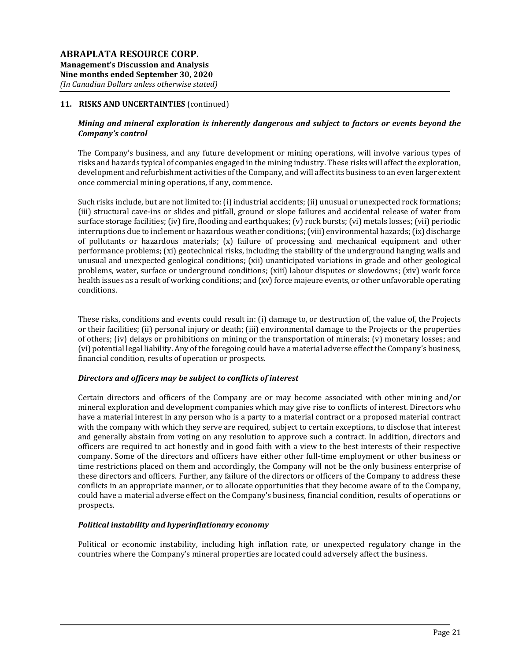## Mining and mineral exploration is inherently dangerous and subject to factors or events beyond the Company's control

The Company's business, and any future development or mining operations, will involve various types of risks and hazards typical of companies engaged in the mining industry. These risks will affect the exploration, development and refurbishment activities of the Company, and will affect its business to an even larger extent once commercial mining operations, if any, commence.

Such risks include, but are not limited to: (i) industrial accidents; (ii) unusual or unexpected rock formations; (iii) structural cave-ins or slides and pitfall, ground or slope failures and accidental release of water from surface storage facilities; (iv) fire, flooding and earthquakes; (v) rock bursts; (vi) metals losses; (vii) periodic interruptions due to inclement or hazardous weather conditions; (viii) environmental hazards; (ix) discharge of pollutants or hazardous materials; (x) failure of processing and mechanical equipment and other performance problems; (xi) geotechnical risks, including the stability of the underground hanging walls and unusual and unexpected geological conditions; (xii) unanticipated variations in grade and other geological problems, water, surface or underground conditions; (xiii) labour disputes or slowdowns; (xiv) work force health issues as a result of working conditions; and (xv) force majeure events, or other unfavorable operating conditions.

These risks, conditions and events could result in: (i) damage to, or destruction of, the value of, the Projects or their facilities; (ii) personal injury or death; (iii) environmental damage to the Projects or the properties of others; (iv) delays or prohibitions on mining or the transportation of minerals; (v) monetary losses; and (vi) potential legal liability. Any of the foregoing could have a material adverse effect the Company's business, financial condition, results of operation or prospects.

### Directors and officers may be subject to conflicts of interest

Certain directors and officers of the Company are or may become associated with other mining and/or mineral exploration and development companies which may give rise to conflicts of interest. Directors who have a material interest in any person who is a party to a material contract or a proposed material contract with the company with which they serve are required, subject to certain exceptions, to disclose that interest and generally abstain from voting on any resolution to approve such a contract. In addition, directors and officers are required to act honestly and in good faith with a view to the best interests of their respective company. Some of the directors and officers have either other full-time employment or other business or time restrictions placed on them and accordingly, the Company will not be the only business enterprise of these directors and officers. Further, any failure of the directors or officers of the Company to address these conflicts in an appropriate manner, or to allocate opportunities that they become aware of to the Company, could have a material adverse effect on the Company's business, financial condition, results of operations or prospects.

### Political instability and hyperinflationary economy

Political or economic instability, including high inflation rate, or unexpected regulatory change in the countries where the Company's mineral properties are located could adversely affect the business.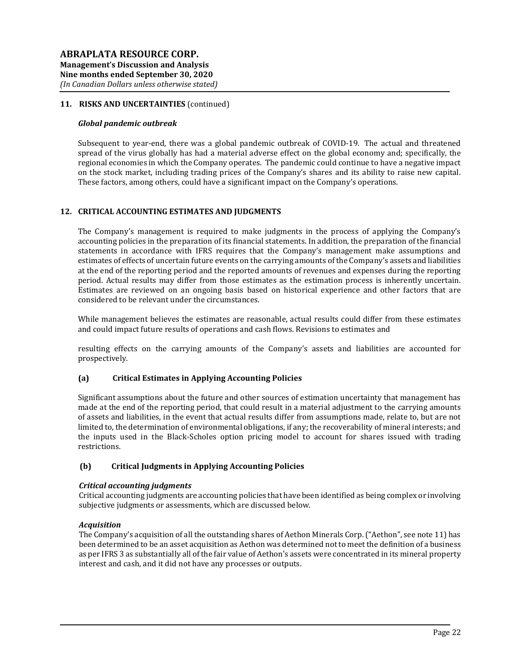#### Global pandemic outbreak

Subsequent to year-end, there was a global pandemic outbreak of COVID-19. The actual and threatened spread of the virus globally has had a material adverse effect on the global economy and; specifically, the regional economies in which the Company operates. The pandemic could continue to have a negative impact on the stock market, including trading prices of the Company's shares and its ability to raise new capital. These factors, among others, could have a significant impact on the Company's operations.

# 12. CRITICAL ACCOUNTING ESTIMATES AND JUDGMENTS

The Company's management is required to make judgments in the process of applying the Company's accounting policies in the preparation of its financial statements. In addition, the preparation of the financial statements in accordance with IFRS requires that the Company's management make assumptions and estimates of effects of uncertain future events on the carrying amounts of the Company's assets and liabilities at the end of the reporting period and the reported amounts of revenues and expenses during the reporting period. Actual results may differ from those estimates as the estimation process is inherently uncertain. Estimates are reviewed on an ongoing basis based on historical experience and other factors that are considered to be relevant under the circumstances.

While management believes the estimates are reasonable, actual results could differ from these estimates and could impact future results of operations and cash flows. Revisions to estimates and

resulting effects on the carrying amounts of the Company's assets and liabilities are accounted for prospectively.

### (a) Critical Estimates in Applying Accounting Policies

Significant assumptions about the future and other sources of estimation uncertainty that management has made at the end of the reporting period, that could result in a material adjustment to the carrying amounts of assets and liabilities, in the event that actual results differ from assumptions made, relate to, but are not limited to, the determination of environmental obligations, if any; the recoverability of mineral interests; and the inputs used in the Black-Scholes option pricing model to account for shares issued with trading restrictions.

### (b) Critical Judgments in Applying Accounting Policies

### Critical accounting judgments

Critical accounting judgments are accounting policies that have been identified as being complex or involving subjective judgments or assessments, which are discussed below.

### **Acquisition**

The Company's acquisition of all the outstanding shares of Aethon Minerals Corp. ("Aethon", see note 11) has been determined to be an asset acquisition as Aethon was determined not to meet the definition of a business as per IFRS 3 as substantially all of the fair value of Aethon's assets were concentrated in its mineral property interest and cash, and it did not have any processes or outputs.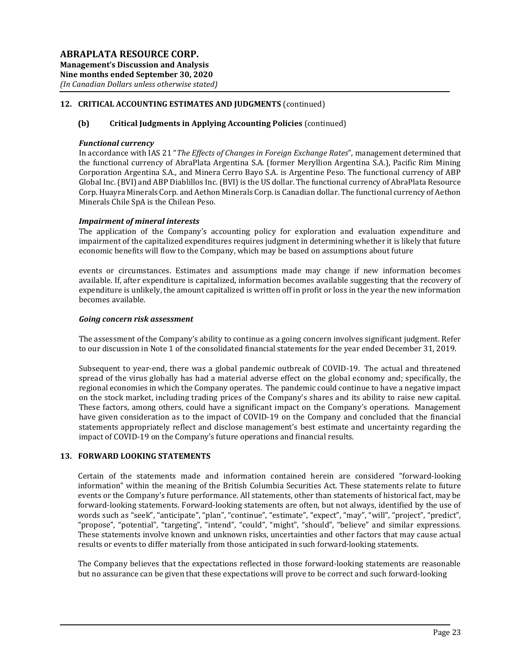# 12. CRITICAL ACCOUNTING ESTIMATES AND JUDGMENTS (continued)

### (b) Critical Judgments in Applying Accounting Policies (continued)

#### Functional currency

In accordance with IAS 21 "The Effects of Changes in Foreign Exchange Rates", management determined that the functional currency of AbraPlata Argentina S.A. (former Meryllion Argentina S.A.), Pacific Rim Mining Corporation Argentina S.A., and Minera Cerro Bayo S.A. is Argentine Peso. The functional currency of ABP Global Inc. (BVI) and ABP Diablillos Inc. (BVI) is the US dollar. The functional currency of AbraPlata Resource Corp. Huayra Minerals Corp. and Aethon Minerals Corp. is Canadian dollar. The functional currency of Aethon Minerals Chile SpA is the Chilean Peso.

#### Impairment of mineral interests

The application of the Company's accounting policy for exploration and evaluation expenditure and impairment of the capitalized expenditures requires judgment in determining whether it is likely that future economic benefits will flow to the Company, which may be based on assumptions about future

events or circumstances. Estimates and assumptions made may change if new information becomes available. If, after expenditure is capitalized, information becomes available suggesting that the recovery of expenditure is unlikely, the amount capitalized is written off in profit or loss in the year the new information becomes available.

#### Going concern risk assessment

The assessment of the Company's ability to continue as a going concern involves significant judgment. Refer to our discussion in Note 1 of the consolidated financial statements for the year ended December 31, 2019.

Subsequent to year-end, there was a global pandemic outbreak of COVID-19. The actual and threatened spread of the virus globally has had a material adverse effect on the global economy and; specifically, the regional economies in which the Company operates. The pandemic could continue to have a negative impact on the stock market, including trading prices of the Company's shares and its ability to raise new capital. These factors, among others, could have a significant impact on the Company's operations. Management have given consideration as to the impact of COVID-19 on the Company and concluded that the financial statements appropriately reflect and disclose management's best estimate and uncertainty regarding the impact of COVID-19 on the Company's future operations and financial results.

### 13. FORWARD LOOKING STATEMENTS

Certain of the statements made and information contained herein are considered "forward-looking information" within the meaning of the British Columbia Securities Act. These statements relate to future events or the Company's future performance. All statements, other than statements of historical fact, may be forward-looking statements. Forward-looking statements are often, but not always, identified by the use of words such as "seek", "anticipate", "plan", "continue", "estimate", "expect", "may", "will", "project", "predict", "propose", "potential", "targeting", "intend", "could", "might", "should", "believe" and similar expressions. These statements involve known and unknown risks, uncertainties and other factors that may cause actual results or events to differ materially from those anticipated in such forward-looking statements.

The Company believes that the expectations reflected in those forward-looking statements are reasonable but no assurance can be given that these expectations will prove to be correct and such forward-looking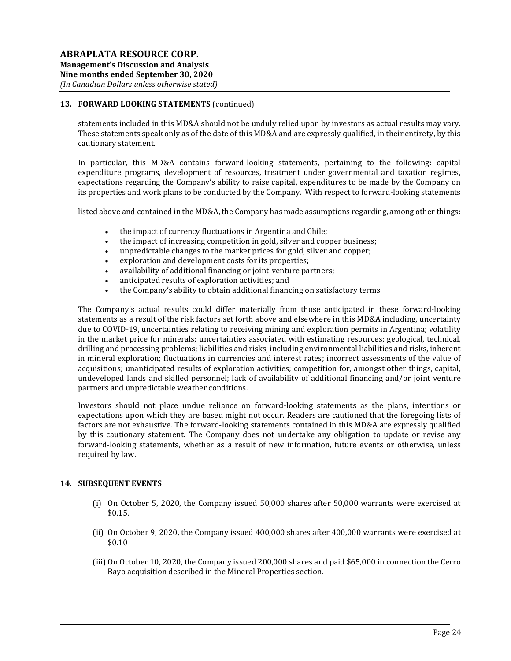# 13. FORWARD LOOKING STATEMENTS (continued)

statements included in this MD&A should not be unduly relied upon by investors as actual results may vary. These statements speak only as of the date of this MD&A and are expressly qualified, in their entirety, by this cautionary statement.

In particular, this MD&A contains forward-looking statements, pertaining to the following: capital expenditure programs, development of resources, treatment under governmental and taxation regimes, expectations regarding the Company's ability to raise capital, expenditures to be made by the Company on its properties and work plans to be conducted by the Company. With respect to forward-looking statements

listed above and contained in the MD&A, the Company has made assumptions regarding, among other things:

- the impact of currency fluctuations in Argentina and Chile:
- the impact of increasing competition in gold, silver and copper business;
- unpredictable changes to the market prices for gold, silver and copper;
- exploration and development costs for its properties;
- availability of additional financing or joint-venture partners;
- anticipated results of exploration activities; and
- the Company's ability to obtain additional financing on satisfactory terms.

The Company's actual results could differ materially from those anticipated in these forward-looking statements as a result of the risk factors set forth above and elsewhere in this MD&A including, uncertainty due to COVID-19, uncertainties relating to receiving mining and exploration permits in Argentina; volatility in the market price for minerals; uncertainties associated with estimating resources; geological, technical, drilling and processing problems; liabilities and risks, including environmental liabilities and risks, inherent in mineral exploration; fluctuations in currencies and interest rates; incorrect assessments of the value of acquisitions; unanticipated results of exploration activities; competition for, amongst other things, capital, undeveloped lands and skilled personnel; lack of availability of additional financing and/or joint venture partners and unpredictable weather conditions.

Investors should not place undue reliance on forward-looking statements as the plans, intentions or expectations upon which they are based might not occur. Readers are cautioned that the foregoing lists of factors are not exhaustive. The forward-looking statements contained in this MD&A are expressly qualified by this cautionary statement. The Company does not undertake any obligation to update or revise any forward-looking statements, whether as a result of new information, future events or otherwise, unless required by law.

### 14. SUBSEQUENT EVENTS

- (i) On October 5, 2020, the Company issued 50,000 shares after 50,000 warrants were exercised at \$0.15.
- (ii) On October 9, 2020, the Company issued 400,000 shares after 400,000 warrants were exercised at \$0.10
- (iii) On October 10, 2020, the Company issued 200,000 shares and paid \$65,000 in connection the Cerro Bayo acquisition described in the Mineral Properties section.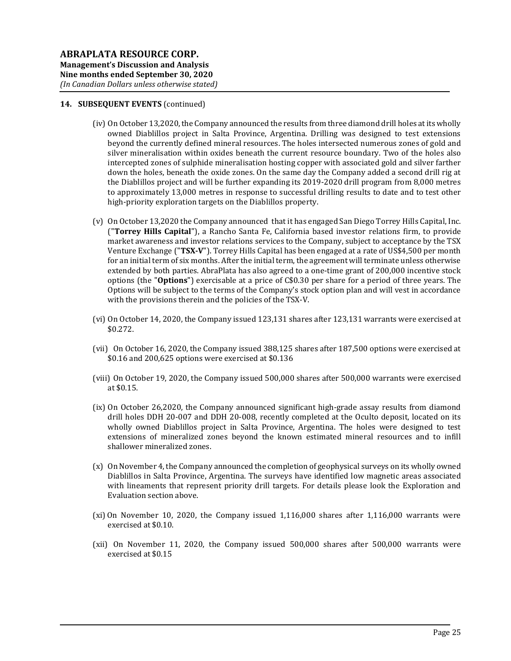### 14. SUBSEQUENT EVENTS (continued)

- (iv) On October 13,2020, the Company announced the results from three diamond drill holes at its wholly owned Diablillos project in Salta Province, Argentina. Drilling was designed to test extensions beyond the currently defined mineral resources. The holes intersected numerous zones of gold and silver mineralisation within oxides beneath the current resource boundary. Two of the holes also intercepted zones of sulphide mineralisation hosting copper with associated gold and silver farther down the holes, beneath the oxide zones. On the same day the Company added a second drill rig at the Diablillos project and will be further expanding its 2019-2020 drill program from 8,000 metres to approximately 13,000 metres in response to successful drilling results to date and to test other high-priority exploration targets on the Diablillos property.
- (v) On October 13,2020 the Company announced that it has engaged San Diego Torrey Hills Capital, Inc. ("Torrey Hills Capital"), a Rancho Santa Fe, California based investor relations firm, to provide market awareness and investor relations services to the Company, subject to acceptance by the TSX Venture Exchange ("TSX-V"). Torrey Hills Capital has been engaged at a rate of US\$4,500 per month for an initial term of six months. After the initial term, the agreement will terminate unless otherwise extended by both parties. AbraPlata has also agreed to a one-time grant of 200,000 incentive stock options (the "Options") exercisable at a price of C\$0.30 per share for a period of three years. The Options will be subject to the terms of the Company's stock option plan and will vest in accordance with the provisions therein and the policies of the TSX-V.
- (vi) On October 14, 2020, the Company issued 123,131 shares after 123,131 warrants were exercised at \$0.272.
- (vii) On October 16, 2020, the Company issued 388,125 shares after 187,500 options were exercised at \$0.16 and 200,625 options were exercised at \$0.136
- (viii) On October 19, 2020, the Company issued 500,000 shares after 500,000 warrants were exercised at \$0.15.
- (ix) On October 26,2020, the Company announced significant high-grade assay results from diamond drill holes DDH 20-007 and DDH 20-008, recently completed at the Oculto deposit, located on its wholly owned Diablillos project in Salta Province, Argentina. The holes were designed to test extensions of mineralized zones beyond the known estimated mineral resources and to infill shallower mineralized zones.
- (x) On November 4, the Company announced the completion of geophysical surveys on its wholly owned Diablillos in Salta Province, Argentina. The surveys have identified low magnetic areas associated with lineaments that represent priority drill targets. For details please look the Exploration and Evaluation section above.
- (xi) On November 10, 2020, the Company issued 1,116,000 shares after 1,116,000 warrants were exercised at \$0.10.
- (xii) On November 11, 2020, the Company issued 500,000 shares after 500,000 warrants were exercised at \$0.15